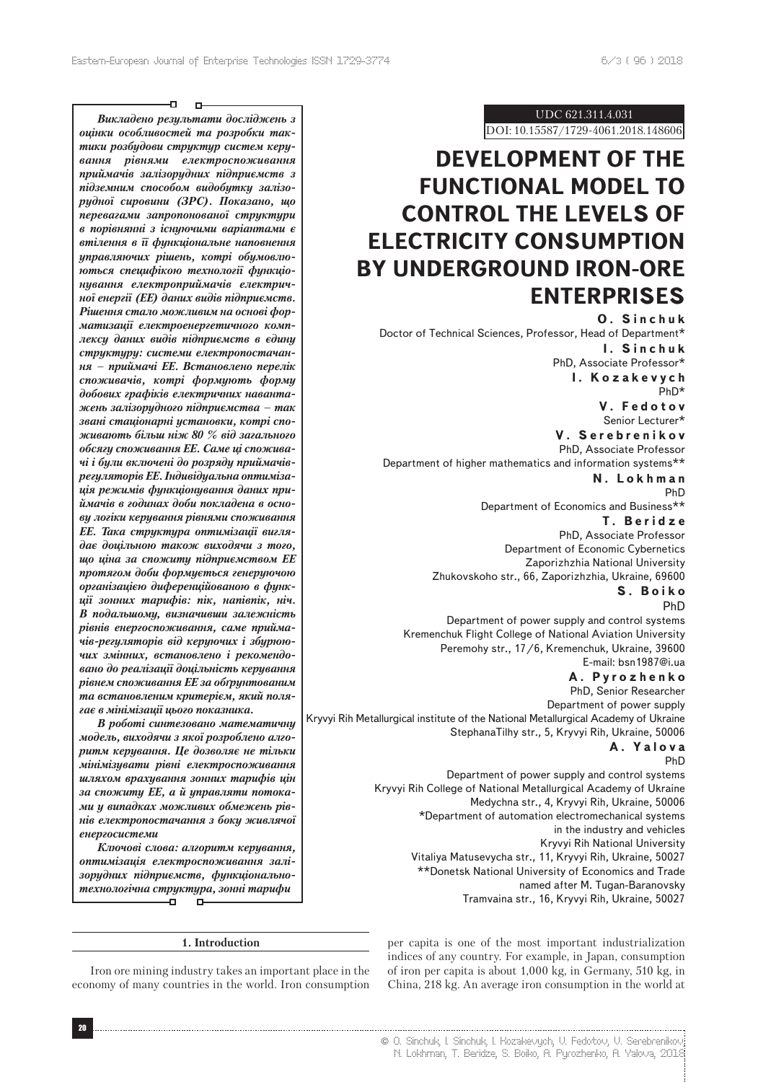Ð  $\mathbf{D}$ 

*Викладено результати дослiджень з оцiнки особливостей та розробки тактики розбудови структур систем керування рiвнями електроспоживання приймачiв залiзорудних пiдприємств з пiдземним способом видобутку залiзорудної сировини (ЗРС). Показано, що перевагами запропонованої структури в порiвняннi з iснуючими варiантами є втiлення в її функцiональне наповнення управляючих рiшень, котрi обумовлюються специфiкою технологiї функцiонування електроприймачiв електричної енергiї (ЕЕ) даних видiв пiдприємств. Рiшення стало можливим на основi форматизацiї електроенергетичного комплексу даних видiв пiдприємств в єдину структуру: системи електропостачання – приймачi ЕЕ. Встановлено перелiк споживачiв, котрi формують форму добових графiкiв електричних навантажень залiзорудного пiдприємства – так званi стацiонарнi установки, котрi споживають бiльш нiж 80 % вiд загального обсягу споживання ЕЕ. Саме цi споживачi i були включенi до розряду приймачiврегуляторiв ЕЕ. Iндивiдуальна оптимiзацiя режимiв функцiонування даних приймачiв в годинах доби покладена в основу логiки керування рiвнями споживання ЕЕ. Така структура оптимiзацiї виглядає доцiльною також виходячи з того, що цiна за спожиту пiдприємством ЕЕ протягом доби формується генеруючою органiзацiєю диференцiйованою в функцiї зонних тарифiв: пiк, напiвпiк, нiч. В подальшому, визначивши залежнiсть рiвнiв енергоспоживання, саме приймачiв-регуляторiв вiд керуючих i збурюючих змiнних, встановлено i рекомендовано до реалiзацiї доцiльнiсть керування рiвнем споживання ЕЕ за обґрунтованим та встановленим критерiєм, який полягає в мiнiмiзацiї цього показника.*

*В роботi синтезовано математичну модель, виходячи з якої розроблено алгоритм керування. Це дозволяє не тiльки мiнiмiзувати рiвнi електроспоживання шляхом врахування зонних тарифiв цiн за спожиту ЕЕ, а й управляти потоками у випадках можливих обмежень рiвнiв електропостачання з боку живлячої енергосистеми*

*Ключовi слова: алгоритм керування, оптимiзацiя електроспоживання залiзорудних пiдприємств, функцiональнотехнологiчна структура, зоннi тарифи* Ð.  $\Box$ 

#### **1. Introduction**

Iron ore mining industry takes an important place in the economy of many countries in the world. Iron consumption

UDC 621.311.4.031

DOI: 10.15587/1729-4061.2018.148606

# **DEVELOPMENT OF THE FUNCTIONAL MODEL TO CONTROL THE LEVELS OF ELECTRICITY CONSUMPTION BY UNDERGROUND IRON-ORE ENTERPRISES**

**О. Sinchuk** Doctor of Technical Sciences, Professor, Head of Department\* **І. Sinchuk** PhD, Associate Professor\*

**І. Kozakevych** PhD\* **V. Fedotov**

Senior Lecturer\*

**V. Serebrenikov** PhD, Associate Professor Department of higher mathematics and information systems\*\*

> **N. Lokhman** PhD

Department of Economics and Business\*\* **Т. Beridze**

PhD, Associate Professor Department of Economic Cybernetics Zaporizhzhia National University Zhukovskoho str., 66, Zaporizhzhia, Ukraine, 69600

#### **S. Boiko** PhD

Department of power supply and control systems Kremenchuk Flight College of National Aviation University Peremohy str., 17/6, Kremenchuk, Ukraine, 39600 Е-mail: bsn1987@i.ua

### **А. Pyrozhenko**

PhD, Senior Researcher Department of power supply Kryvyi Rih Metallurgical institute of the National Metallurgical Academy of Ukraine StephanaTilhy str., 5, Kryvyi Rih, Ukraine, 50006 **А. Yalova**

## PhD

Department of power supply and control systems Kryvyi Rih College of National Metallurgical Academy of Ukraine Medychna str., 4, Kryvyi Rih, Ukraine, 50006 \*Department of automation electromechanical systems in the industry and vehicles Kryvyi Rih National University Vitaliya Matusevycha str., 11, Kryvyi Rih, Ukraine, 50027 \*\*Donetsk National University of Economics and Trade named after M. Tugan-Baranovsky

Tramvaina str., 16, Kryvyi Rih, Ukraine, 50027

per capita is one of the most important industrialization indices of any country. For example, in Japan, consumption of iron per capita is about 1,000 kg, in Germany, 510 kg, in China, 218 kg. An average iron consumption in the world at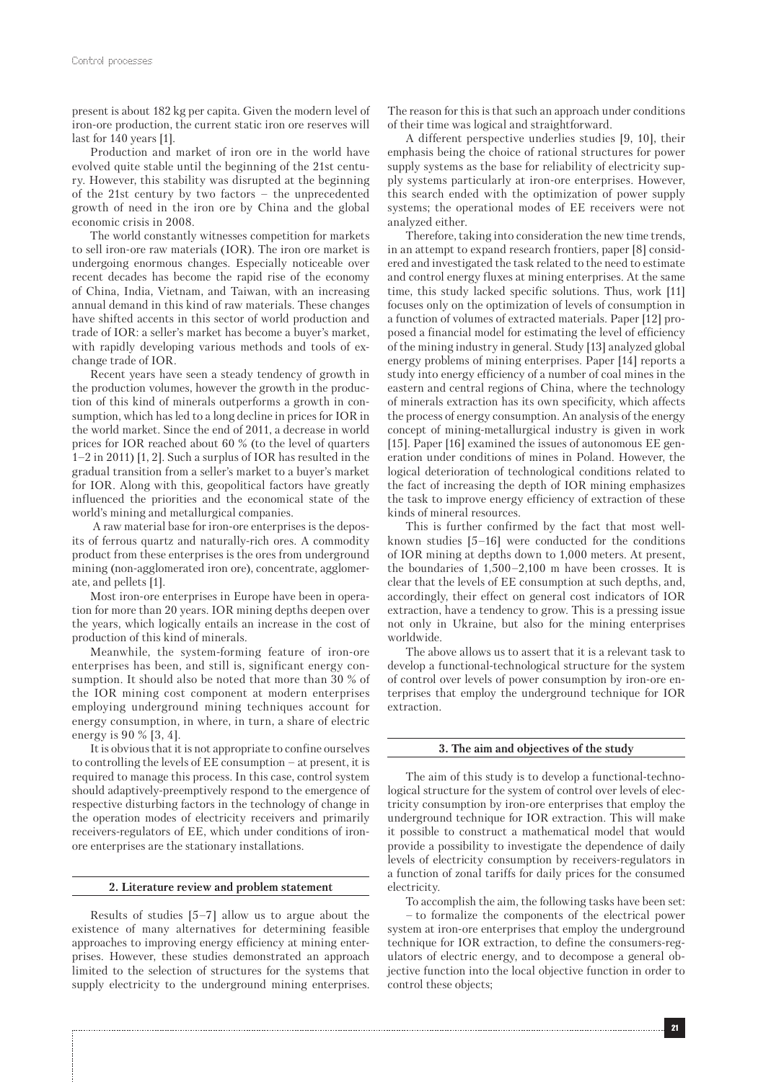present is about 182 kg per capita. Given the modern level of iron-ore production, the current static iron ore reserves will last for 140 years [1].

Production and market of iron ore in the world have evolved quite stable until the beginning of the 21st century. However, this stability was disrupted at the beginning of the 21st century by two factors – the unprecedented growth of need in the iron ore by China and the global economic crisis in 2008.

The world constantly witnesses competition for markets to sell iron-ore raw materials (IOR). The iron ore market is undergoing enormous changes. Especially noticeable over recent decades has become the rapid rise of the economy of China, India, Vietnam, and Taiwan, with an increasing annual demand in this kind of raw materials. These changes have shifted accents in this sector of world production and trade of IOR: a seller's market has become a buyer's market, with rapidly developing various methods and tools of exchange trade of IOR.

Recent years have seen a steady tendency of growth in the production volumes, however the growth in the production of this kind of minerals outperforms a growth in consumption, which has led to a long decline in prices for IOR in the world market. Since the end of 2011, a decrease in world prices for IOR reached about 60 % (to the level of quarters 1–2 in 2011) [1, 2]. Such a surplus of IOR has resulted in the gradual transition from a seller's market to a buyer's market for IOR. Along with this, geopolitical factors have greatly influenced the priorities and the economical state of the world's mining and metallurgical companies.

 A raw material base for iron-ore enterprises is the deposits of ferrous quartz and naturally-rich ores. A commodity product from these enterprises is the ores from underground mining (non-agglomerated iron ore), concentrate, agglomerate, and pellets [1].

Most iron-ore enterprises in Europe have been in operation for more than 20 years. IOR mining depths deepen over the years, which logically entails an increase in the cost of production of this kind of minerals.

Meanwhile, the system-forming feature of iron-ore enterprises has been, and still is, significant energy consumption. It should also be noted that more than 30 % of the IOR mining cost component at modern enterprises employing underground mining techniques account for energy consumption, in where, in turn, a share of electric energy is 90 % [3, 4].

It is obvious that it is not appropriate to confine ourselves to controlling the levels of EE consumption – at present, it is required to manage this process. In this case, control system should adaptively-preemptively respond to the emergence of respective disturbing factors in the technology of change in the operation modes of electricity receivers and primarily receivers-regulators of EE, which under conditions of ironore enterprises are the stationary installations.

#### **2. Literature review and problem statement**

Results of studies [5–7] allow us to argue about the existence of many alternatives for determining feasible approaches to improving energy efficiency at mining enterprises. However, these studies demonstrated an approach limited to the selection of structures for the systems that supply electricity to the underground mining enterprises.

The reason for this is that such an approach under conditions of their time was logical and straightforward.

A different perspective underlies studies [9, 10], their emphasis being the choice of rational structures for power supply systems as the base for reliability of electricity supply systems particularly at iron-ore enterprises. However, this search ended with the optimization of power supply systems; the operational modes of EE receivers were not analyzed either.

Therefore, taking into consideration the new time trends, in an attempt to expand research frontiers, paper [8] considered and investigated the task related to the need to estimate and control energy fluxes at mining enterprises. At the same time, this study lacked specific solutions. Thus, work [11] focuses only on the optimization of levels of consumption in a function of volumes of extracted materials. Paper [12] proposed a financial model for estimating the level of efficiency of the mining industry in general. Study [13] analyzed global energy problems of mining enterprises. Paper [14] reports a study into energy efficiency of a number of coal mines in the eastern and central regions of China, where the technology of minerals extraction has its own specificity, which affects the process of energy consumption. An analysis of the energy concept of mining-metallurgical industry is given in work [15]. Paper [16] examined the issues of autonomous EE generation under conditions of mines in Poland. However, the logical deterioration of technological conditions related to the fact of increasing the depth of IOR mining emphasizes the task to improve energy efficiency of extraction of these kinds of mineral resources.

This is further confirmed by the fact that most wellknown studies [5–16] were conducted for the conditions of IOR mining at depths down to 1,000 meters. At present, the boundaries of 1,500–2,100 m have been crosses. It is clear that the levels of EE consumption at such depths, and, accordingly, their effect on general cost indicators of IOR extraction, have a tendency to grow. This is a pressing issue not only in Ukraine, but also for the mining enterprises worldwide.

The above allows us to assert that it is a relevant task to develop a functional-technological structure for the system of control over levels of power consumption by iron-ore enterprises that employ the underground technique for IOR extraction.

#### **3. The aim and objectives of the study**

The aim of this study is to develop a functional-technological structure for the system of control over levels of electricity consumption by iron-ore enterprises that employ the underground technique for IOR extraction. This will make it possible to construct a mathematical model that would provide a possibility to investigate the dependence of daily levels of electricity consumption by receivers-regulators in a function of zonal tariffs for daily prices for the consumed electricity.

To accomplish the aim, the following tasks have been set:

– to formalize the components of the electrical power system at iron-ore enterprises that employ the underground technique for IOR extraction, to define the consumers-regulators of electric energy, and to decompose a general objective function into the local objective function in order to control these objects;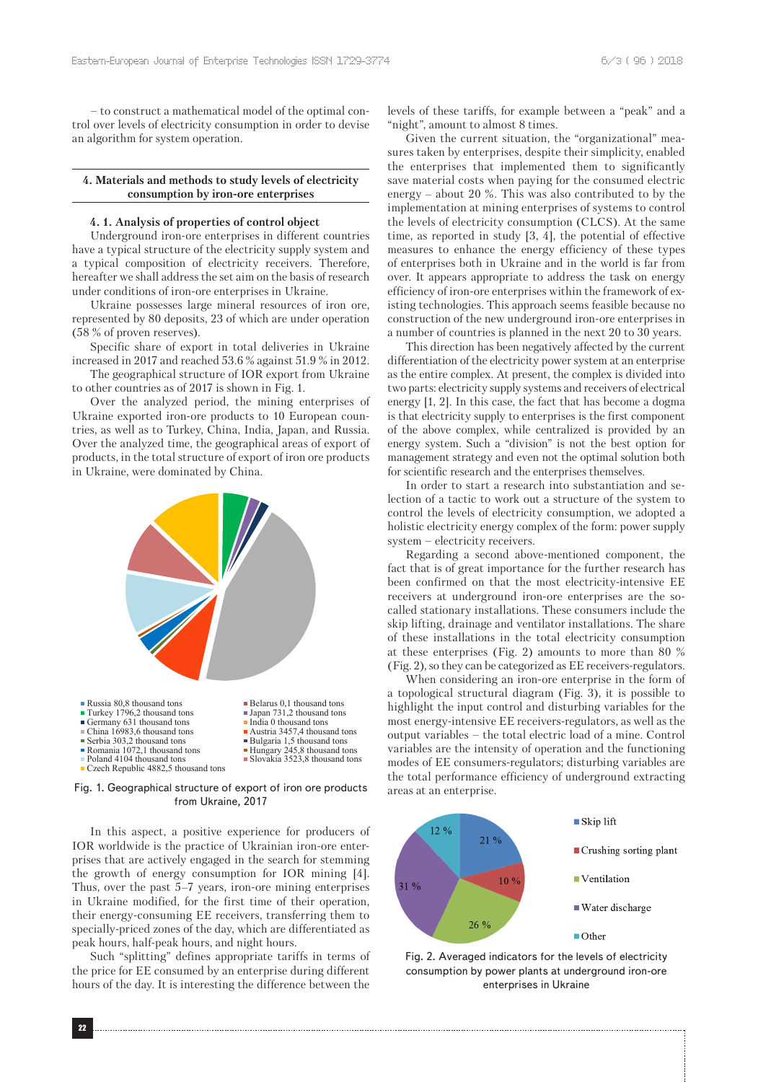– to construct a mathematical model of the optimal control over levels of electricity consumption in order to devise an algorithm for system operation.

#### **4. Materials and methods to study levels of electricity consumption by iron-ore enterprises**

#### **4. 1. Analysis of properties of control object**

Underground iron-ore enterprises in different countries have a typical structure of the electricity supply system and a typical composition of electricity receivers. Therefore, hereafter we shall address the set aim on the basis of research under conditions of iron-ore enterprises in Ukraine.

Ukraine possesses large mineral resources of iron ore, represented by 80 deposits, 23 of which are under operation (58 % of proven reserves).

Specific share of export in total deliveries in Ukraine increased in 2017 and reached 53.6 % against 51.9 % in 2012.

The geographical structure of IOR export from Ukraine to other countries as of 2017 is shown in Fig. 1.

Over the analyzed period, the mining enterprises of Ukraine exported iron-ore products to 10 European countries, as well as to Turkey, China, India, Japan, and Russia. Over the analyzed time, the geographical areas of export of products, in the total structure of export of iron ore products in Ukraine, were dominated by China.



Fig. 1. Geographical structure of export of iron ore products from Ukraine, 2017

In this aspect, a positive experience for producers of IOR worldwide is the practice of Ukrainian iron-ore enterprises that are actively engaged in the search for stemming the growth of energy consumption for IOR mining [4]. Thus, over the past 5–7 years, iron-ore mining enterprises in Ukraine modified, for the first time of their operation, their energy-consuming EE receivers, transferring them to specially-priced zones of the day, which are differentiated as peak hours, half-peak hours, and night hours.

Such "splitting" defines appropriate tariffs in terms of the price for EE consumed by an enterprise during different hours of the day. It is interesting the difference between the levels of these tariffs, for example between a "peak" and a "night", amount to almost 8 times.

Given the current situation, the "organizational" measures taken by enterprises, despite their simplicity, enabled the enterprises that implemented them to significantly save material costs when paying for the consumed electric energy  $-$  about 20 %. This was also contributed to by the implementation at mining enterprises of systems to control the levels of electricity consumption (CLCS). At the same time, as reported in study [3, 4], the potential of effective measures to enhance the energy efficiency of these types of enterprises both in Ukraine and in the world is far from over. It appears appropriate to address the task on energy efficiency of iron-ore enterprises within the framework of existing technologies. This approach seems feasible because no construction of the new underground iron-ore enterprises in a number of countries is planned in the next 20 to 30 years.

This direction has been negatively affected by the current differentiation of the electricity power system at an enterprise as the entire complex. At present, the complex is divided into two parts: electricity supply systems and receivers of electrical energy [1, 2]. In this case, the fact that has become a dogma is that electricity supply to enterprises is the first component of the above complex, while centralized is provided by an energy system. Such a "division" is not the best option for management strategy and even not the optimal solution both for scientific research and the enterprises themselves.

In order to start a research into substantiation and selection of a tactic to work out a structure of the system to control the levels of electricity consumption, we adopted a holistic electricity energy complex of the form: power supply system – electricity receivers.

Regarding a second above-mentioned component, the fact that is of great importance for the further research has been confirmed on that the most electricity-intensive EE receivers at underground iron-ore enterprises are the socalled stationary installations. These consumers include the skip lifting, drainage and ventilator installations. The share of these installations in the total electricity consumption at these enterprises (Fig. 2) amounts to more than 80 % (Fig. 2), so they can be categorized as EE receivers-regulators.

When considering an iron-ore enterprise in the form of a topological structural diagram (Fig. 3), it is possible to highlight the input control and disturbing variables for the most energy-intensive EE receivers-regulators, as well as the output variables – the total electric load of a mine. Control variables are the intensity of operation and the functioning modes of EE consumers-regulators; disturbing variables are the total performance efficiency of underground extracting areas at an enterprise.



Fig. 2. Averaged indicators for the levels of electricity consumption by power plants at underground iron-ore enterprises in Ukraine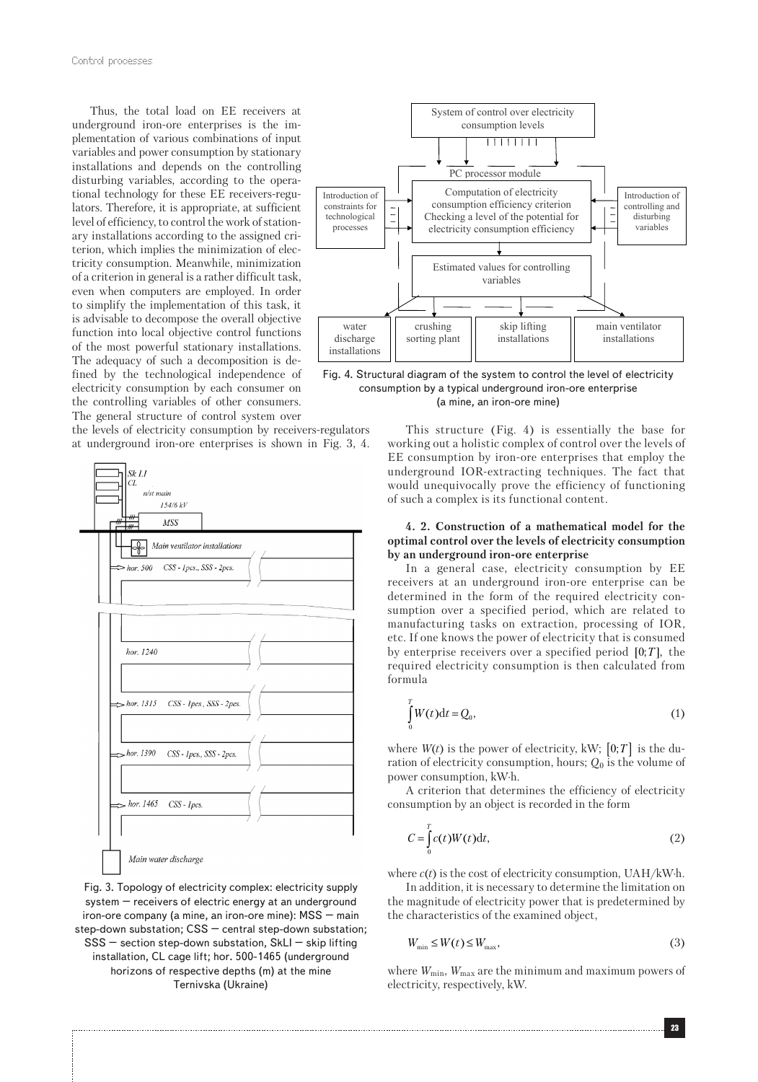Thus, the total load on EE receivers at underground iron-ore enterprises is the implementation of various combinations of input variables and power consumption by stationary installations and depends on the controlling disturbing variables, according to the operational technology for these EE receivers-regulators. Therefore, it is appropriate, at sufficient level of efficiency, to control the work of stationary installations according to the assigned criterion, which implies the minimization of electricity consumption. Meanwhile, minimization of a criterion in general is a rather difficult task, even when computers are employed. In order to simplify the implementation of this task, it is advisable to decompose the overall objective function into local objective control functions of the most powerful stationary installations. The adequacy of such a decomposition is defined by the technological independence of electricity consumption by each consumer on the controlling variables of other consumers. The general structure of control system over

the levels of electricity consumption by receivers-regulators at underground iron-ore enterprises is shown in Fig. 3, 4.



Fig. 3. Topology of electricity complex: electricity supply system – receivers of electric energy at an underground iron-ore company (a mine, an iron-ore mine): MSS – main step-down substation; CSS – central step-down substation;  $SSS$  – section step-down substation,  $SkLI$  – skip lifting installation, CL cage lift; hor. 500-1465 (underground horizons of respective depths (m) at the mine Ternivska (Ukraine)



Fig. 4. Structural diagram of the system to control the level of electricity consumption by a typical underground iron-ore enterprise (a mine, an iron-ore mine)

This structure (Fig. 4) is essentially the base for working out a holistic complex of control over the levels of EE consumption by iron-ore enterprises that employ the underground IOR-extracting techniques. The fact that would unequivocally prove the efficiency of functioning of such a complex is its functional content.

#### **4. 2. Construction of a mathematical model for the optimal control over the levels of electricity consumption by an underground iron-ore enterprise**

In a general case, electricity consumption by EE receivers at an underground iron-ore enterprise can be determined in the form of the required electricity consumption over a specified period, which are related to manufacturing tasks on extraction, processing of IOR, etc. If one knows the power of electricity that is consumed by enterprise receivers over a specified period  $[0; T]$ , the required electricity consumption is then calculated from formula

$$
\int_{0}^{T} W(t)dt = Q_{0},\qquad(1)
$$

where  $W(t)$  is the power of electricity, kW;  $[0;T]$  is the duration of electricity consumption, hours; *Q*0 is the volume of power consumption, kW∙h.

A criterion that determines the efficiency of electricity consumption by an object is recorded in the form

$$
C = \int_{0}^{T} c(t)W(t)dt,
$$
\n(2)

where *c*(*t*) is the cost of electricity consumption, UAH/kW∙h.

In addition, it is necessary to determine the limitation on the magnitude of electricity power that is predetermined by the characteristics of the examined object,

$$
W_{\min} \le W(t) \le W_{\max},\tag{3}
$$

where  $W_{\text{min}}$ ,  $W_{\text{max}}$  are the minimum and maximum powers of electricity, respectively, kW.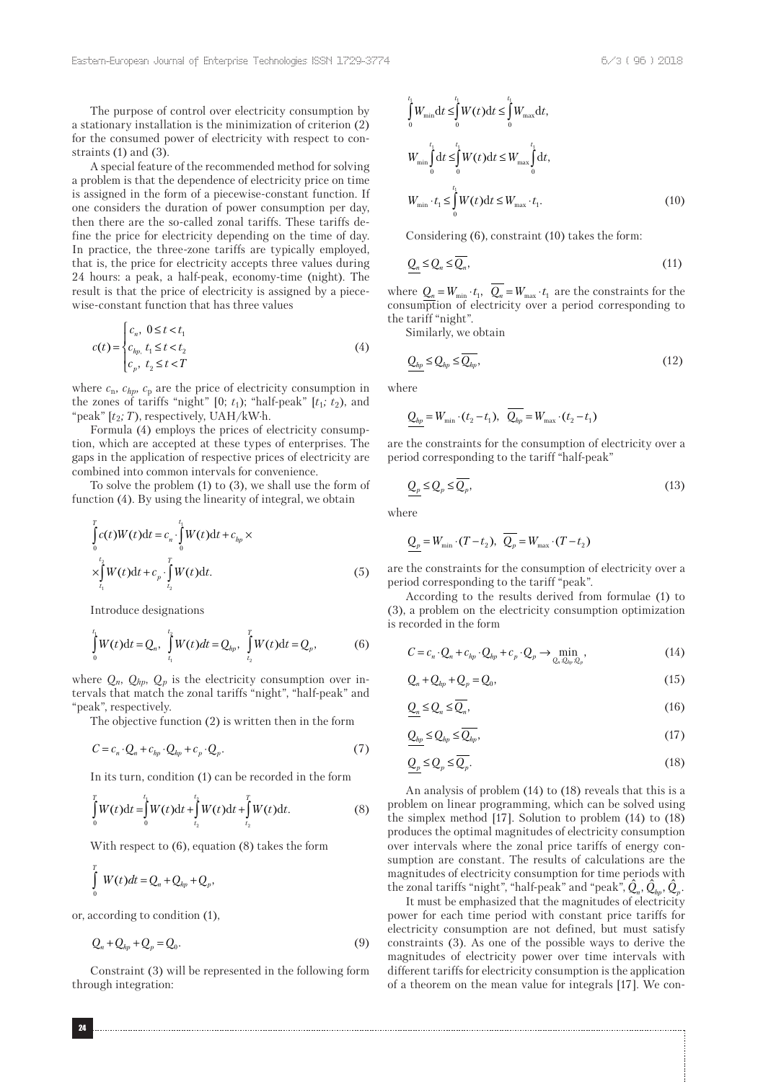The purpose of control over electricity consumption by a stationary installation is the minimization of criterion (2) for the consumed power of electricity with respect to constraints (1) and (3).

A special feature of the recommended method for solving a problem is that the dependence of electricity price on time is assigned in the form of a piecewise-constant function. If one considers the duration of power consumption per day, then there are the so-called zonal tariffs. These tariffs define the price for electricity depending on the time of day. In practice, the three-zone tariffs are typically employed, that is, the price for electricity accepts three values during 24 hours: a peak, a half-peak, economy-time (night). The result is that the price of electricity is assigned by a piecewise-constant function that has three values

$$
c(t) = \begin{cases} c_n, & 0 \le t < t_1 \\ c_{hp, t_1} \le t < t_2 \\ c_p, & t_2 \le t < T \end{cases}
$$
 (4)

where  $c_n$ ,  $c_{hp}$ ,  $c_p$  are the price of electricity consumption in the zones of tariffs "night" [0;  $t_1$ ); "half-peak" [ $t_1$ ;  $t_2$ ), and "peak" [*t*2*; T*), respectively, UAH/kW∙h.

Formula (4) employs the prices of electricity consumption, which are accepted at these types of enterprises. The gaps in the application of respective prices of electricity are combined into common intervals for convenience.

To solve the problem (1) to (3), we shall use the form of function (4). By using the linearity of integral, we obtain

$$
\int_{0}^{T} c(t)W(t)dt = c_n \cdot \int_{0}^{t_1} W(t)dt + c_{hp} \times \times \int_{t_1}^{t_2} W(t)dt + c_p \cdot \int_{t_2}^{T} W(t)dt.
$$
\n(5)

Introduce designations

$$
\int_{0}^{t_1} W(t) dt = Q_n, \int_{t_1}^{t_2} W(t) dt = Q_{hp}, \int_{t_2}^{T} W(t) dt = Q_p, \tag{6}
$$

where  $Q_n$ ,  $Q_{hp}$ ,  $Q_p$  is the electricity consumption over intervals that match the zonal tariffs "night", "half-peak" and "peak", respectively.

The objective function (2) is written then in the form

$$
C = c_n \cdot Q_n + c_{hp} \cdot Q_{hp} + c_p \cdot Q_p. \tag{7}
$$

In its turn, condition (1) can be recorded in the form

$$
\int_{0}^{T} W(t)dt = \int_{0}^{t_1} W(t)dt + \int_{t_2}^{t_2} W(t)dt + \int_{t_2}^{T} W(t)dt.
$$
 (8)

With respect to (6), equation (8) takes the form

$$
\int\limits_{0}^{T} W(t)dt = Q_n + Q_{hp} + Q_p,
$$

or, according to condition (1),

$$
Q_n + Q_{hp} + Q_p = Q_0. \tag{9}
$$

Constraint (3) will be represented in the following form through integration:

$$
\int_{0}^{t_{1}} W_{\min} dt \leq \int_{0}^{t_{1}} W(t) dt \leq \int_{0}^{t_{1}} W_{\max} dt,
$$
\n
$$
W_{\min} \int_{0}^{t_{1}} dt \leq \int_{0}^{t_{1}} W(t) dt \leq W_{\max} \int_{0}^{t_{1}} dt,
$$
\n
$$
W_{\min} \cdot t_{1} \leq \int_{0}^{t_{1}} W(t) dt \leq W_{\max} \cdot t_{1}.
$$
\n(10)

Considering (6), constraint (10) takes the form:

$$
\underline{Q}_n \le \underline{Q}_n \le \overline{Q}_n,\tag{11}
$$

where  $Q_n = W_{\min} \cdot t_1$ ,  $Q_n = W_{\max} \cdot t_1$  are the constraints for the consumption of electricity over a period corresponding to the tariff "night".

Similarly, we obtain

$$
\underline{Q_{hp}} \le \underline{Q}_{hp} \le \overline{Q_{hp}},\tag{12}
$$

where

$$
\underline{Q_{hp}} = W_{\min} \cdot (t_2 - t_1), \quad \overline{Q_{hp}} = W_{\max} \cdot (t_2 - t_1)
$$

are the constraints for the consumption of electricity over a period corresponding to the tariff "half-peak"

$$
Q_p \le Q_p \le \overline{Q_p},\tag{13}
$$

where

$$
\underline{Q_p} = W_{\min} \cdot (T - t_2), \ \overline{Q_p} = W_{\max} \cdot (T - t_2)
$$

are the constraints for the consumption of electricity over a period corresponding to the tariff "peak".

According to the results derived from formulae (1) to (3), a problem on the electricity consumption optimization is recorded in the form

$$
C = c_n \cdot Q_n + c_{hp} \cdot Q_{hp} + c_p \cdot Q_p \to \min_{Q_n, Q_{hp}, Q_p} \tag{14}
$$

$$
Q_n + Q_{hp} + Q_p = Q_0, \qquad (15)
$$

$$
\underline{Q}_n \le \underline{Q}_n \le \overline{Q}_n,\tag{16}
$$

$$
Q_{hp} \le Q_{hp} \le \overline{Q_{hp}},\tag{17}
$$

$$
\underline{Q}_p \le \underline{Q}_p \le \overline{Q}_p. \tag{18}
$$

An analysis of problem (14) to (18) reveals that this is a problem on linear programming, which can be solved using the simplex method [17]. Solution to problem (14) to (18) produces the optimal magnitudes of electricity consumption over intervals where the zonal price tariffs of energy consumption are constant. The results of calculations are the magnitudes of electricity consumption for time periods with the zonal tariffs "night", "half-peak" and "peak",  $\hat{Q}_n$ ,  $\hat{Q}_n$ ,  $\hat{Q}_p$ ,

It must be emphasized that the magnitudes of electricity power for each time period with constant price tariffs for electricity consumption are not defined, but must satisfy constraints (3). As one of the possible ways to derive the magnitudes of electricity power over time intervals with different tariffs for electricity consumption is the application of a theorem on the mean value for integrals [17]. We con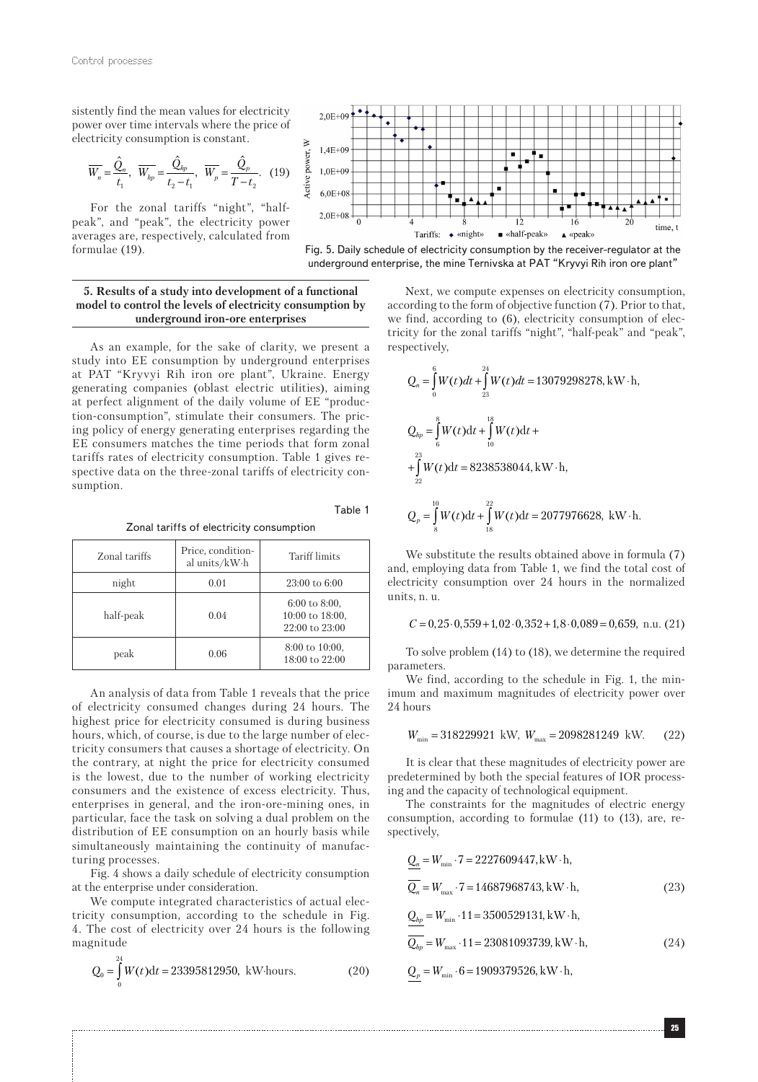sistently find the mean values for electricity power over time intervals where the price of electricity consumption is constant.

$$
\overline{W_n} = \frac{\hat{Q}_n}{t_1}, \ \ \overline{W_{hp}} = \frac{\hat{Q}_{hp}}{t_2 - t_1}, \ \ \overline{W_p} = \frac{\hat{Q}_p}{T - t_2}. \ \ (19)
$$

For the zonal tariffs "night", "halfpeak", and "peak", the electricity power averages are, respectively, calculated from formulae (19).



Fig. 5. Daily schedule of electricity consumption by the receiver-regulator at the underground enterprise, the mine Ternivska at PAT "Kryvyi Rih iron ore plant"

#### **5. Results of a study into development of a functional model to control the levels of electricity consumption by underground iron-ore enterprises**

As an example, for the sake of clarity, we present a study into EE consumption by underground enterprises at PAT "Kryvyi Rih iron ore plant", Ukraine. Energy generating companies (oblast electric utilities), aiming at perfect alignment of the daily volume of EE "production-consumption", stimulate their consumers. The pricing policy of energy generating enterprises regarding the EE consumers matches the time periods that form zonal tariffs rates of electricity consumption. Table 1 gives respective data on the three-zonal tariffs of electricity consumption.

Zonal tariffs of electricity consumption

Table 1

|  | Zonal tariffs | Price, condition-<br>al units/kW·h | Tariff limits                                               |
|--|---------------|------------------------------------|-------------------------------------------------------------|
|  | night         | 0.01                               | $23:00$ to $6:00$                                           |
|  | half-peak     | 0.04                               | $6:00$ to $8:00$ ,<br>10:00 to 18:00.<br>$22:00$ to $23:00$ |
|  | peak          | 0.06                               | $8:00 \text{ to } 10:00.$<br>$18:00$ to $22:00$             |

An analysis of data from Table 1 reveals that the price of electricity consumed changes during 24 hours. The highest price for electricity consumed is during business hours, which, of course, is due to the large number of electricity consumers that causes a shortage of electricity. On the contrary, at night the price for electricity consumed is the lowest, due to the number of working electricity consumers and the existence of excess electricity. Thus, enterprises in general, and the iron-ore-mining ones, in particular, face the task on solving a dual problem on the distribution of EE consumption on an hourly basis while simultaneously maintaining the continuity of manufacturing processes.

Fig. 4 shows a daily schedule of electricity consumption at the enterprise under consideration.

We compute integrated characteristics of actual electricity consumption, according to the schedule in Fig. 4. The cost of electricity over 24 hours is the following magnitude

$$
Q_0 = \int_0^{24} W(t)dt = 23395812950, \text{ kW hours.}
$$
 (20)

Next, we compute expenses on electricity consumption, according to the form of objective function (7). Prior to that, we find, according to (6), electricity consumption of electricity for the zonal tariffs "night", "half-peak" and "peak", respectively,

$$
Q_n = \int_0^6 W(t)dt + \int_{23}^{24} W(t)dt = 13079298278, \text{ kW} \cdot \text{h},
$$
  
\n
$$
Q_{hp} = \int_6^8 W(t)dt + \int_{10}^{18} W(t)dt +
$$
  
\n
$$
+ \int_{22}^{23} W(t)dt = 8238538044, \text{ kW} \cdot \text{h},
$$
  
\n
$$
Q_p = \int_8^{10} W(t)dt + \int_{18}^{22} W(t)dt = 2077976628, \text{ kW} \cdot \text{h}.
$$

We substitute the results obtained above in formula (7) and, employing data from Table 1, we find the total cost of electricity consumption over 24 hours in the normalized units, n. u.

$$
C = 0,25 \cdot 0,559 + 1,02 \cdot 0,352 + 1,8 \cdot 0,089 = 0,659, n.u. (21)
$$

To solve problem (14) to (18), we determine the required parameters.

We find, according to the schedule in Fig. 1, the minimum and maximum magnitudes of electricity power over 24 hours

$$
W_{\min}=318229921~{\rm kW},~W_{\max}=2098281249~{\rm kW}.~~(22)
$$

It is clear that these magnitudes of electricity power are predetermined by both the special features of IOR processing and the capacity of technological equipment.

The constraints for the magnitudes of electric energy consumption, according to formulae (11) to (13), are, respectively,

$$
\underline{Q}_n = W_{\min} \cdot 7 = 2227609447, \text{kW} \cdot \text{h},
$$
  
\n
$$
\overline{Q}_n = W_{\max} \cdot 7 = 14687968743, \text{kW} \cdot \text{h},
$$
  
\n
$$
Q_{hp} = W_{\min} \cdot 11 = 3500529131, \text{kW} \cdot \text{h},
$$
\n(23)

$$
\frac{1}{Q_{hp}} = W_{\text{max}} \cdot 11 = 23081093739, \text{kW} \cdot \text{h},\tag{24}
$$

$$
Q_p = W_{\min} \cdot 6 = 1909379526, \text{kW} \cdot \text{h},
$$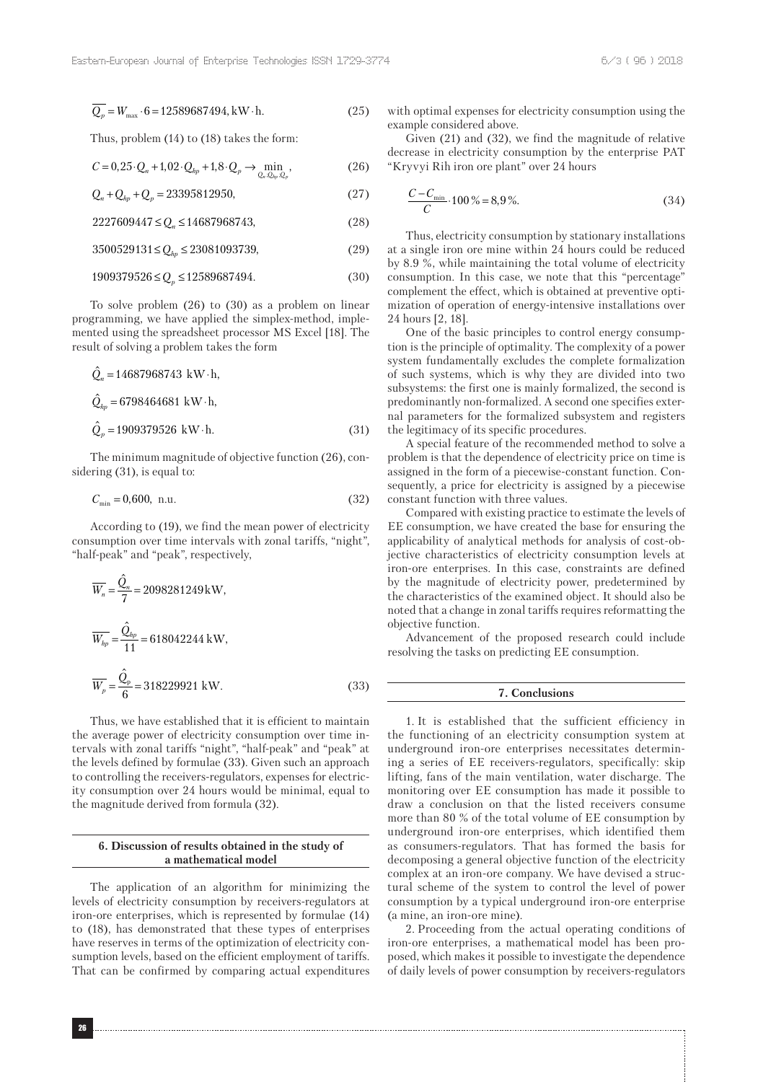$$
Q_p = W_{\text{max}} \cdot 6 = 12589687494, \text{kW} \cdot \text{h.}
$$
 (25)

Thus, problem (14) to (18) takes the form:

$$
C = 0,25 \cdot Q_n + 1,02 \cdot Q_{hp} + 1,8 \cdot Q_p \to \min_{Q_n, Q_{hp}, Q_p} \tag{26}
$$

$$
Q_n + Q_{hp} + Q_p = 23395812950,
$$
\n(27)

$$
2227609447 \le Q_n \le 14687968743,\tag{28}
$$

 $3500529131 \le Q_{hp} \le 23081093739,$  (29)

$$
1909379526 \le Q_p \le 12589687494. \tag{30}
$$

To solve problem (26) to (30) as a problem on linear programming, we have applied the simplex-method, implemented using the spreadsheet processor MS Excel [18]. The result of solving a problem takes the form

$$
\hat{Q}_n = 14687968743 \text{ kW} \cdot \text{h},
$$
  
\n
$$
\hat{Q}_{hp} = 6798464681 \text{ kW} \cdot \text{h},
$$
  
\n
$$
\hat{Q}_p = 1909379526 \text{ kW} \cdot \text{h}.
$$
\n(31)

The minimum magnitude of objective function (26), considering (31), is equal to:

$$
C_{\min} = 0,600, \text{ n.u.} \tag{32}
$$

According to (19), we find the mean power of electricity consumption over time intervals with zonal tariffs, "night", "half-peak" and "peak", respectively,

$$
\overline{W_n} = \frac{\hat{Q}_n}{7} = 2098281249 \text{ kW},
$$
  

$$
\overline{W_{hp}} = \frac{\hat{Q}_{hp}}{11} = 618042244 \text{ kW},
$$
  

$$
\overline{W_p} = \frac{\hat{Q}_p}{6} = 318229921 \text{ kW}.
$$
 (33)

Thus, we have established that it is efficient to maintain the average power of electricity consumption over time intervals with zonal tariffs "night", "half-peak" and "peak" at the levels defined by formulae (33). Given such an approach to controlling the receivers-regulators, expenses for electricity consumption over 24 hours would be minimal, equal to the magnitude derived from formula (32).

#### **6. Discussion of results obtained in the study of a mathematical model**

The application of an algorithm for minimizing the levels of electricity consumption by receivers-regulators at iron-ore enterprises, which is represented by formulae (14) to (18), has demonstrated that these types of enterprises have reserves in terms of the optimization of electricity consumption levels, based on the efficient employment of tariffs. That can be confirmed by comparing actual expenditures with optimal expenses for electricity consumption using the example considered above.

Given (21) and (32), we find the magnitude of relative decrease in electricity consumption by the enterprise PAT "Kryvyi Rih iron ore plant" over 24 hours

$$
\frac{C - C_{\min}}{C} \cdot 100\% = 8.9\%.
$$
 (34)

Thus, electricity consumption by stationary installations at a single iron ore mine within 24 hours could be reduced by 8.9 %, while maintaining the total volume of electricity consumption. In this case, we note that this "percentage" complement the effect, which is obtained at preventive optimization of operation of energy-intensive installations over 24 hours [2, 18].

One of the basic principles to control energy consumption is the principle of optimality. The complexity of a power system fundamentally excludes the complete formalization of such systems, which is why they are divided into two subsystems: the first one is mainly formalized, the second is predominantly non-formalized. A second one specifies external parameters for the formalized subsystem and registers the legitimacy of its specific procedures.

A special feature of the recommended method to solve a problem is that the dependence of electricity price on time is assigned in the form of a piecewise-constant function. Consequently, a price for electricity is assigned by a piecewise constant function with three values.

Compared with existing practice to estimate the levels of EE consumption, we have created the base for ensuring the applicability of analytical methods for analysis of cost-objective characteristics of electricity consumption levels at iron-ore enterprises. In this case, constraints are defined by the magnitude of electricity power, predetermined by the characteristics of the examined object. It should also be noted that a change in zonal tariffs requires reformatting the objective function.

Advancement of the proposed research could include resolving the tasks on predicting EE consumption.

#### **7. Conclusions**

1. It is established that the sufficient efficiency in the functioning of an electricity consumption system at underground iron-ore enterprises necessitates determining a series of EE receivers-regulators, specifically: skip lifting, fans of the main ventilation, water discharge. The monitoring over EE consumption has made it possible to draw a conclusion on that the listed receivers consume more than 80 % of the total volume of EE consumption by underground iron-ore enterprises, which identified them as consumers-regulators. That has formed the basis for decomposing a general objective function of the electricity complex at an iron-ore company. We have devised a structural scheme of the system to control the level of power consumption by a typical underground iron-ore enterprise (a mine, an iron-ore mine).

2. Proceeding from the actual operating conditions of iron-ore enterprises, a mathematical model has been proposed, which makes it possible to investigate the dependence of daily levels of power consumption by receivers-regulators